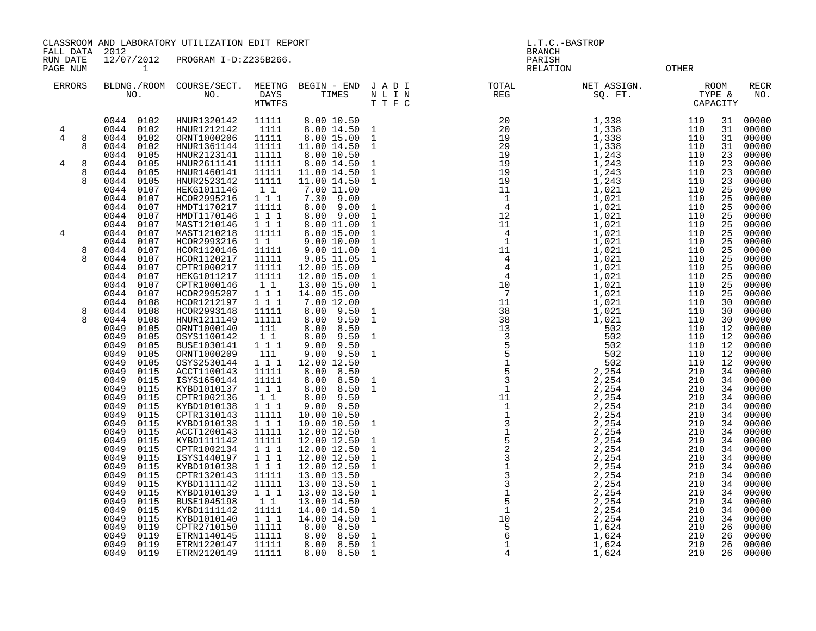CLASSROOM AND LABORATORY UTILIZATION EDIT REPORT AND REPORT STATES OF REPORT THAT A L.T.C.-BASTROP

FALL DATA 2012 BRANCH

PAGE NUM 1 RELATION OTHER

RUN DATE 12/07/2012 PROGRAM I-D:Z235B266. PARISH ERRORS BLDNG./ROOM COURSE/SECT. MEETNG BEGIN - END J A D I TOTAL NET ASSIGN. ROOM RECR NO. NO. DAYS THE SERVICE SERVICE SERVICE SERVICE SERVICE SERVICE SERVICE SERVICE SERVICE SERVICE SERVICE SERVICE CAPACITY 01 110 25 00000 01 110 25 00000<br>110 25 00000 ة 110 25 00000<br>21 110 25 00000 110 25 00000 01 110 25 00000<br>110 25 00000 0049 0105 ORNT1000209 111 9.00 9.50 1 5 502 110 12 00000

| ERRORS |        |              | NO.          | BLDMG./KOOM COURSE/SECT.<br>NO. | DAYS<br>MTWTFS     | MEEING REGIN - END<br>TIMES  | U A D I<br>N L I N<br>T T F C | TOTAL<br>REG | NET ASSIGN.<br>SQ. FT. | RUUM       | TYPE &<br>CAPACITY | KECK<br>NO.    |
|--------|--------|--------------|--------------|---------------------------------|--------------------|------------------------------|-------------------------------|--------------|------------------------|------------|--------------------|----------------|
|        |        | 0044         | 0102         | HNUR1320142                     | 11111              | 8.00 10.50                   |                               |              | 1,338                  | 110        | 31                 | 00000          |
| 4      |        | 0044         | 0102         | HNUR1212142                     | 1111               | 8.00 14.50                   | $\mathbf{1}$                  |              | 1,338                  | 110        | 31                 | 00000          |
| 4      | 8<br>8 | 0044<br>0044 | 0102<br>0102 | ORNT1000206<br>HNUR1361144      | 11111<br>11111     | 8.00 15.00                   | $\mathbf{1}$                  |              | 1,338<br>1,338         | 110<br>110 | 31<br>31           | 00000<br>00000 |
|        |        | 0044         | 0105         | HNUR2123141                     | 11111              | 11.00 14.50<br>8.00 10.50    | $\mathbf{1}$                  |              | 1,243                  | 110        | 23                 | 00000          |
| 4      | 8      | 0044         | 0105         | HNUR2611141                     | 11111              | 8.00 14.50                   | 1                             |              | 1,243                  | 110        | 23                 | 00000          |
|        | 8      | 0044         | 0105         | HNUR1460141                     | 11111              | 11.00 14.50                  | $\mathbf{1}$                  |              | 1,243                  | 110        | 23                 | 00000          |
|        | 8      | 0044         | 0105         | HNUR2523142                     | 11111              | 11.00 14.50                  | <sup>1</sup>                  |              | 1,243                  | 110        | 23                 | 00000          |
|        |        | 0044         | 0107         | HEKG1011146                     | 11                 | 7.00 11.00                   |                               |              | 1,021                  | 110        | 25                 | 00000          |
|        |        | 0044         | 0107         | HCOR2995216                     | 1 1 1              | 7.30<br>9.00                 |                               |              | 1,021                  | 110        | 25                 | 00000          |
|        |        | 0044         | 0107         | HMDT1170217                     | 11111              | 8.00 9.00                    | 1                             |              | 1,021                  | 110        | 25                 | 00000          |
|        |        | 0044         | 0107         | HMDT1170146                     | 1 1 1              | 8.00 9.00                    | $\mathbf{1}$                  |              | 1,021                  | 110        | 25                 | 00000          |
|        |        | 0044         | 0107         | MAST1210146                     | 1 1 1              | 8.00 11.00                   | $\mathbf{1}$                  |              | 1,021                  | 110        | 25                 | 00000          |
| 4      |        | 0044<br>0044 | 0107<br>0107 | MAST1210218<br>HCOR2993216      | 11111<br>$1\quad1$ | 8.00 15.00<br>9.00 10.00     | 1<br>$\mathbf{1}$             |              | 1,021<br>1,021         | 110<br>110 | 25<br>25           | 00000<br>00000 |
|        | 8      | 0044         | 0107         | HCOR1120146                     | 11111              | 9.00 11.00                   | $\mathbf{1}$                  |              | 1,021                  | 110        | 25                 | 00000          |
|        | 8      | 0044         | 0107         | HCOR1120217                     | 11111              | 9.05 11.05                   | 1                             |              | 1,021                  | 110        | 25                 | 00000          |
|        |        | 0044         | 0107         | CPTR1000217                     | 11111              | 12.00 15.00                  |                               |              | 1,021                  | 110        | 25                 | 00000          |
|        |        | 0044         | 0107         | HEKG1011217                     | 11111              | 12.00 15.00                  | $\mathbf{1}$                  |              | 1,021                  | 110        | 25                 | 00000          |
|        |        | 0044         | 0107         | CPTR1000146                     | 11                 | 13.00 15.00                  | 1                             |              | 1,021                  | 110        | 25                 | 00000          |
|        |        | 0044         | 0107         | HCOR2995207                     | $1\ 1\ 1$          | 14.00 15.00                  |                               |              | 1,021                  | 110        | 25                 | 00000          |
|        |        | 0044         | 0108         | HCOR1212197                     | 111                | 7.00 12.00                   |                               |              | 1,021                  | 110        | 30                 | 00000          |
|        | 8      | 0044         | 0108         | HCOR2993148                     | 11111              | 8.00 9.50                    | $\mathbf{1}$                  |              | 1,021                  | 110        | 30                 | 00000          |
|        | 8      | 0044         | 0108         | HNUR1211149                     | 11111              | 8.00<br>9.50                 | $\mathbf{1}$                  |              | 1,021                  | 110        | 30                 | 00000          |
|        |        | 0049<br>0049 | 0105<br>0105 | ORNT1000140<br>OSYS1100142      | 111<br>$1\quad1$   | 8.00<br>8.50<br>8.00<br>9.50 | $\mathbf{1}$                  |              | 502<br>502             | 110<br>110 | 12<br>12           | 00000<br>00000 |
|        |        | 0049         | 0105         | BUSE1030141                     | 1 1 1              | 9.00<br>9.50                 |                               |              | 502                    | 110        | 12                 | 00000          |
|        |        | 0049         | 0105         | ORNT1000209                     | 111                | $9.00$ $9.50$                | $\mathbf{1}$                  |              | 502                    | 110        | 12                 | 00000          |
|        |        | 0049         | 0105         | OSYS2530144                     | $1\ 1\ 1$          | 12.00 12.50                  |                               |              | 502                    | 110        | 12                 | 00000          |
|        |        | 0049         | 0115         | ACCT1100143                     | 11111              | 8.00<br>8.50                 |                               |              | 2,254                  | 210        | 34                 | 00000          |
|        |        | 0049         | 0115         | ISYS1650144                     | 11111              | 8.00<br>8.50                 | $\mathbf{1}$                  |              | 2,254                  | 210        | 34                 | 00000          |
|        |        | 0049         | 0115         | KYBD1010137                     | 111                | 8.00<br>8.50                 | 1                             |              | 2,254                  | 210        | 34                 | 00000          |
|        |        | 0049         | 0115         | CPTR1002136                     | 1 1                | 8.00 9.50                    |                               |              | 2,254                  | 210        | 34                 | 00000          |
|        |        | 0049         | 0115         | KYBD1010138                     | 1 1 1              | 9.00 9.50                    |                               |              | 2,254                  | 210        | 34                 | 00000          |
|        |        | 0049<br>0049 | 0115<br>0115 | CPTR1310143<br>KYBD1010138      | 11111<br>111       | 10.00 10.50<br>10.00 10.50   | $\mathbf{1}$                  |              | 2,254<br>2,254         | 210<br>210 | 34<br>34           | 00000<br>00000 |
|        |        | 0049         | 0115         | ACCT1200143                     | 11111              | 12.00 12.50                  |                               |              | 2,254                  | 210        | 34                 | 00000          |
|        |        | 0049         | 0115         | KYBD1111142                     | 11111              | 12.00 12.50                  | $\mathbf{1}$                  |              | 2,254                  | 210        | 34                 | 00000          |
|        |        | 0049         | 0115         | CPTR1002134                     | $1 1 1$            | 12.00 12.50                  | $\mathbf{1}$                  |              | 2,254                  | 210        | 34                 | 00000          |
|        |        | 0049         | 0115         | ISYS1440197                     | $1\ 1\ 1$          | 12.00 12.50                  | $\mathbf{1}$                  |              | 2,254                  | 210        | 34                 | 00000          |
|        |        | 0049         | 0115         | KYBD1010138                     | 111                | 12.00 12.50                  | 1                             |              | 2,254                  | 210        | 34                 | 00000          |
|        |        | 0049         | 0115         | CPTR1320143                     | 11111              | 13.00 13.50                  |                               |              | 2,254                  | 210        | 34                 | 00000          |
|        |        | 0049         | 0115         | KYBD1111142                     | 11111              | 13.00 13.50                  | $\mathbf{1}$                  |              | 2,254                  | 210        | 34                 | 00000          |
|        |        | 0049         | 0115         | KYBD1010139                     | 111                | 13.00 13.50                  | 1                             |              | 2,254                  | 210        | 34                 | 00000          |
|        |        | 0049         | 0115         | BUSE1045198                     | 11                 | 13.00 14.50                  |                               |              | 2,254                  | 210        | 34                 | 00000          |
|        |        | 0049<br>0049 | 0115<br>0115 | KYBD1111142<br>KYBD1010140      | 11111<br>111       | 14.00 14.50<br>14.00 14.50   | $\mathbf{1}$<br>1             |              | 2,254<br>2,254         | 210<br>210 | 34<br>34           | 00000<br>00000 |
|        |        | 0049         | 0119         | CPTR2710150                     | 11111              | 8.00 8.50                    |                               |              | 1,624                  | 210        | 26                 | 00000          |
|        |        | 0049         | 0119         | ETRN1140145                     | 11111              | 8.00<br>8.50                 | $\mathbf{1}$                  |              | 1,624                  | 210        | 26                 | 00000          |
|        |        | 0049         | 0119         | ETRN1220147                     | 11111              | 8.00<br>8.50                 | $\mathbf{1}$                  |              | 1,624                  | 210        | 26                 | 00000          |
|        |        | 0049         | 0119         | ETRN2120149                     | 11111              | 8.00 8.50                    | $\mathbf{1}$                  |              | 1,624                  | 210        | 26                 | 00000          |
|        |        |              |              |                                 |                    |                              |                               |              |                        |            |                    |                |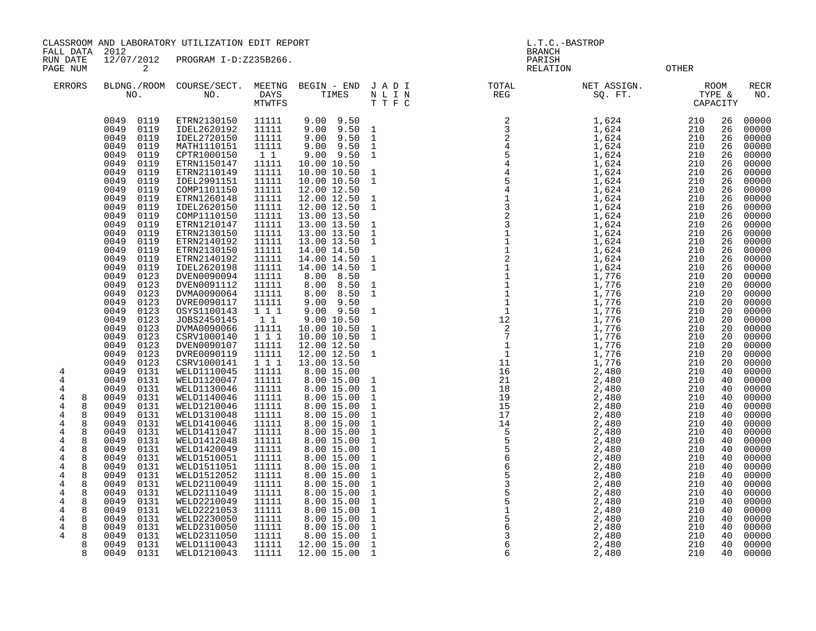CLASSROOM AND LABORATORY UTILIZATION EDIT REPORT AND REPORT THE SERVICE OF L.T.C.-BASTROP

FALL DATA 2012 BRANCH

RUN DATE 12/07/2012 PROGRAM I-D:Z235B266.<br>PAGENUM 2 PAGE NUM 2 RELATION OTHER

| <b>ERRORS</b>  |                   | NO.                          | BLDNG./ROOM COURSE/SECT.<br>NO. | MEETNG<br>DAYS<br>MTWTFS | BEGIN - END JADI<br>TIMES       | N L I N<br>T T F C             | $\frac{1}{10}$ | NET ASSIGN.<br>FRISSIGN.<br>SQ. FT.<br>CAPACITY                                                                                                                                                                                                                                             |            |          | <b>RECR</b><br>NO. |
|----------------|-------------------|------------------------------|---------------------------------|--------------------------|---------------------------------|--------------------------------|----------------|---------------------------------------------------------------------------------------------------------------------------------------------------------------------------------------------------------------------------------------------------------------------------------------------|------------|----------|--------------------|
|                |                   | 0119<br>0049<br>0049<br>0119 | ETRN2130150<br>IDEL2620192      | 11111<br>11111           | $9.00$ $9.50$<br>9.50<br>9.00   | $\overline{\phantom{0}}$       |                | $\begin{array}{l} 1, 624 \\ 1, 624 \\ 1, 624 \\ 1, 624 \\ 1, 624 \\ 1, 624 \\ 1, 624 \\ 1, 624 \\ 1, 624 \\ 1, 624 \\ 1, 624 \\ 1, 624 \\ 1, 624 \\ 1, 624 \\ 1, 624 \\ 1, 624 \\ 1, 624 \\ 1, 624 \\ 1, 624 \\ 1, 624 \\ 1, 624 \\ 1, 624 \\ 1, 624 \\ 1, 624 \\ 1, 624 \\ 1, 624 \\ 1, 6$ | 210<br>210 | 26<br>26 | 00000<br>00000     |
|                |                   | 0119<br>0049<br>0049<br>0119 | IDEL2720150<br>MATH1110151      | 11111<br>11111           | $9.00$ $9.50$<br>9.50 1<br>9.00 | $\overline{1}$                 |                |                                                                                                                                                                                                                                                                                             | 210<br>210 | 26<br>26 | 00000<br>00000     |
|                |                   | 0049<br>0119                 | CPTR1000150                     | 11                       | $9.00$ $9.50$                   | $\mathbf{1}$                   |                |                                                                                                                                                                                                                                                                                             | 210        | 26       | 00000              |
|                |                   | 0049<br>0119                 | ETRN1150147                     | 11111                    | 10.00 10.50                     |                                |                |                                                                                                                                                                                                                                                                                             | 210        | 26       | 00000              |
|                |                   | 0049<br>0119                 | ETRN2110149                     | 11111                    | 10.00 10.50 1                   |                                |                |                                                                                                                                                                                                                                                                                             | 210        | 26       | 00000              |
|                |                   | 0049<br>0119<br>0049<br>0119 | IDEL2991151<br>COMP1101150      | 11111                    | 10.00 10.50<br>12.00 12.50      | $\overline{1}$                 |                |                                                                                                                                                                                                                                                                                             | 210<br>210 | 26<br>26 | 00000<br>00000     |
|                |                   | 0049<br>0119                 | ETRN1260148                     | 11111<br>11111           | 12.00 12.50 1                   |                                |                |                                                                                                                                                                                                                                                                                             | 210        | 26       | 00000              |
|                |                   | 0049<br>0119                 | IDEL2620150                     | 11111                    | 12.00 12.50                     | $\overline{1}$                 |                |                                                                                                                                                                                                                                                                                             | 210        | 26       | 00000              |
|                |                   | 0049<br>0119                 | COMP1110150                     | 11111                    | 13.00 13.50                     |                                |                |                                                                                                                                                                                                                                                                                             | 210        | 26       | 00000              |
|                |                   | 0049<br>0119                 | ETRN1210147                     | 11111                    | 13.00 13.50                     | $\overline{1}$                 |                |                                                                                                                                                                                                                                                                                             | 210        | 26       | 00000              |
|                |                   | 0049<br>0119<br>0049<br>0119 | ETRN2130150<br>ETRN2140192      | 11111<br>11111           | 13.00 13.50<br>13.00 13.50      | $\mathbf{1}$<br>$\mathbf{1}$   |                |                                                                                                                                                                                                                                                                                             | 210<br>210 | 26<br>26 | 00000<br>00000     |
|                |                   | 0049<br>0119                 | ETRN2130150                     | 11111                    | 14.00 14.50                     |                                |                |                                                                                                                                                                                                                                                                                             | 210        | 26       | 00000              |
|                |                   | 0049<br>0119                 | ETRN2140192                     | 11111                    | 14.00 14.50 1                   |                                |                |                                                                                                                                                                                                                                                                                             | 210        | 26       | 00000              |
|                |                   | 0049<br>0119                 | IDEL2620198                     | 11111                    | 14.00 14.50                     | $\mathbf{1}$                   |                |                                                                                                                                                                                                                                                                                             | 210        | 26       | 00000              |
|                |                   | 0049<br>0123                 | DVEN0090094                     | 11111                    | 8.00<br>8.50                    |                                |                |                                                                                                                                                                                                                                                                                             | 210        | 20       | 00000              |
|                |                   | 0049<br>0123<br>0049<br>0123 | DVEN0091112<br>DVMA0090064      | 11111                    | 8.00 8.50<br>8.50<br>8.00       | $\overline{1}$<br><sup>1</sup> |                |                                                                                                                                                                                                                                                                                             | 210<br>210 | 20<br>20 | 00000<br>00000     |
|                |                   | 0049<br>0123                 | DVRE0090117                     | 11111<br>11111           | 9.50<br>9.00                    |                                |                |                                                                                                                                                                                                                                                                                             | 210        | 20       | 00000              |
|                |                   | 0049<br>0123                 | OSYS1100143                     | 111                      | $9.00$ $9.50$ 1                 |                                |                |                                                                                                                                                                                                                                                                                             | 210        | 20       | 00000              |
|                |                   | 0049<br>0123                 | JOBS2450145                     | $1\quad1$                | 9.00 10.50                      |                                |                |                                                                                                                                                                                                                                                                                             | 210        | 20       | 00000              |
|                |                   | 0049<br>0123                 | DVMA0090066                     | 11111                    | 10.00 10.50                     | $\mathbf{1}$                   |                |                                                                                                                                                                                                                                                                                             | 210        | 20       | 00000              |
|                |                   | 0049<br>0123<br>0049<br>0123 | CSRV1000140<br>DVEN0090107      | 111<br>11111             | 10.00 10.50<br>12.00 12.50      | $\mathbf{1}$                   |                |                                                                                                                                                                                                                                                                                             | 210<br>210 | 20<br>20 | 00000<br>00000     |
|                |                   | 0049<br>0123                 | DVRE0090119                     | 11111                    | 12.00 12.50 1                   |                                |                |                                                                                                                                                                                                                                                                                             | 210        | 20       | 00000              |
|                |                   | 0049<br>0123                 | CSRV1000141                     | 1 1 1                    | 13.00 13.50                     |                                |                |                                                                                                                                                                                                                                                                                             | 210        | 20       | 00000              |
| 4              |                   | 0049<br>0131                 | WELD1110045                     | 11111                    | 8.00 15.00                      |                                |                |                                                                                                                                                                                                                                                                                             | 210        | 40       | 00000              |
| 4              |                   | 0049<br>0131                 | WELD1120047                     | 11111                    | 8.00 15.00                      | $\mathbf{1}$                   |                |                                                                                                                                                                                                                                                                                             | 210        | 40       | 00000              |
| 4<br>4         | 8                 | 0049<br>0131<br>0049<br>0131 | WELD1130046<br>WELD1140046      | 11111<br>11111           | 8.00 15.00                      | $\mathbf 1$<br>$\mathbf{1}$    |                |                                                                                                                                                                                                                                                                                             | 210<br>210 | 40<br>40 | 00000<br>00000     |
| 4              | 8                 | 0049<br>0131                 | WELD1210046                     | 11111                    | 8.00 15.00<br>8.00 15.00        | <sup>1</sup>                   |                |                                                                                                                                                                                                                                                                                             | 210        | 40       | 00000              |
| $\overline{4}$ | 8                 | 0049<br>0131                 | WELD1310048                     | 11111                    | 8.00 15.00                      | $1\,$                          |                |                                                                                                                                                                                                                                                                                             | 210        | 40       | 00000              |
| 4              | 8                 | 0049<br>0131                 | WELD1410046                     | 11111                    | 8.00 15.00                      | $\mathbf 1$                    |                |                                                                                                                                                                                                                                                                                             | 210        | 40       | 00000              |
| 4              | 8                 | 0049<br>0131                 | WELD1411047                     | 11111                    | 8.00 15.00                      | $\mathbf{1}$                   |                |                                                                                                                                                                                                                                                                                             | 210        | 40       | 00000              |
| 4<br>4         | 8<br>8            | 0049<br>0131<br>0049<br>0131 | WELD1412048<br>WELD1420049      | 11111<br>11111           | 8.00 15.00<br>8.00 15.00        | $\mathbf{1}$<br>$\mathbf{1}$   |                |                                                                                                                                                                                                                                                                                             | 210<br>210 | 40<br>40 | 00000<br>00000     |
| 4              | 8                 | 0131<br>0049                 | WELD1510051                     | 11111                    | 8.00 15.00                      | $\mathbf{1}$                   |                |                                                                                                                                                                                                                                                                                             | 210        | 40       | 00000              |
| 4              | 8                 | 0049<br>0131                 | WELD1511051                     | 11111                    | 8.00 15.00                      | $\mathbf{1}$                   |                |                                                                                                                                                                                                                                                                                             | 210        | 40       | 00000              |
| 4              | 8                 | 0049<br>0131                 | WELD1512052                     | 11111                    | 8.00 15.00                      | $\mathbf{1}$                   |                |                                                                                                                                                                                                                                                                                             | 210        | 40       | 00000              |
| 4              | 8                 | 0131<br>0049                 | WELD2110049                     | 11111                    | 8.00 15.00                      | $\mathbf{1}$                   |                |                                                                                                                                                                                                                                                                                             | 210        | 40       | 00000              |
| 4              | 8<br>8            | 0131<br>0049                 | WELD2111049                     | 11111                    | 8.00 15.00                      | $\mathbf{1}$<br>$\mathbf{1}$   |                |                                                                                                                                                                                                                                                                                             | 210        | 40       | 00000              |
| 4<br>4         | 8                 | 0049<br>0131<br>0049<br>0131 | WELD2210049<br>WELD2221053      | 11111<br>11111           | 8.00 15.00<br>8.00 15.00        | $\mathbf{1}$                   |                |                                                                                                                                                                                                                                                                                             | 210<br>210 | 40<br>40 | 00000<br>00000     |
| 4              | 8                 | 0131<br>0049                 | WELD2230050                     | 11111                    | 8.00 15.00                      | $\mathbf{1}$                   |                |                                                                                                                                                                                                                                                                                             | 210        | 40       | 00000              |
| 4              | 8                 | 0049<br>0131                 | WELD2310050                     | 11111                    | 8.00 15.00                      | $\mathbf{1}$                   |                |                                                                                                                                                                                                                                                                                             | 210        | 40       | 00000              |
| 4              | 8                 | 0049<br>0131                 | WELD2311050                     | 11111                    | 8.00 15.00                      | $\mathbf 1$                    |                |                                                                                                                                                                                                                                                                                             | 210        | 40       | 00000              |
|                | 8<br>$\mathsf{R}$ | 0049<br>0131                 | WELD1110043                     | 11111                    | 12.00 15.00                     | $\mathbf{1}$<br>$\mathbf{1}$   |                | 2,480<br>2,480                                                                                                                                                                                                                                                                              | 210        | 40<br>40 | 00000<br>00000     |
|                |                   | 0131<br>0049                 | WELD1210043                     | 11111                    | 12.00 15.00                     |                                |                |                                                                                                                                                                                                                                                                                             | 210        |          |                    |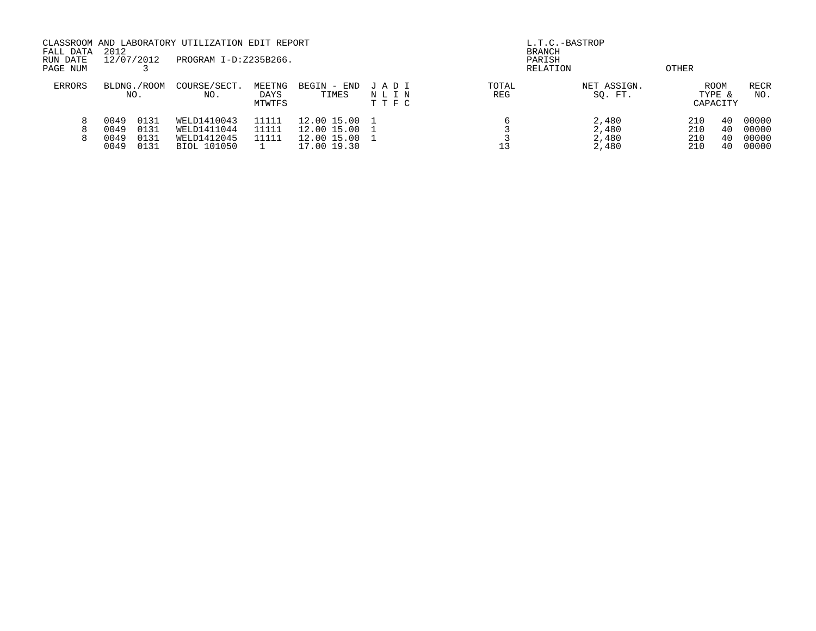| FALL DATA<br>RUN DATE<br>PAGE NUM | 2012                         | 12/07/2012                   |                                                          | CLASSROOM AND LABORATORY UTILIZATION EDIT REPORT<br>PROGRAM I-D:Z235B266. |                                                          |                         |              | L.T.C.-BASTROP<br><b>BRANCH</b><br>PARISH<br>RELATION | OTHER                    |                                   |                                  |
|-----------------------------------|------------------------------|------------------------------|----------------------------------------------------------|---------------------------------------------------------------------------|----------------------------------------------------------|-------------------------|--------------|-------------------------------------------------------|--------------------------|-----------------------------------|----------------------------------|
| <b>ERRORS</b>                     | BLDNG./ROOM<br>NO.           |                              | COURSE/SECT.<br>NO.                                      | MEETNG<br>DAYS<br>MTWTFS                                                  | BEGIN<br>- END<br>TIMES                                  | JADI<br>NLIN<br>T T F C | TOTAL<br>REG | NET ASSIGN.<br>SQ. FT.                                |                          | <b>ROOM</b><br>TYPE &<br>CAPACITY | RECR<br>NO.                      |
|                                   | 0049<br>0049<br>0049<br>0049 | 0131<br>0131<br>0131<br>0131 | WELD1410043<br>WELD1411044<br>WELD1412045<br>BIOL 101050 | 11111<br>11111<br>11111                                                   | 12.00 15.00<br>12.00 15.00<br>12.00 15.00<br>17.00 19.30 |                         |              | 2,480<br>2,480<br>2,480<br>2,480                      | 210<br>210<br>210<br>210 | 40<br>40<br>40<br>40              | 00000<br>00000<br>00000<br>00000 |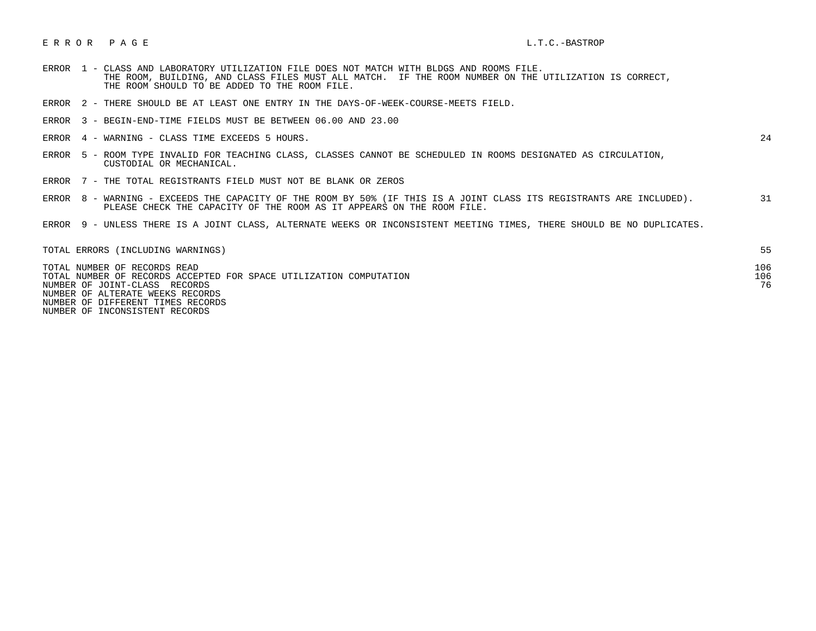## E R R O R P A G E L.T.C.-BASTROP

- ERROR 1 CLASS AND LABORATORY UTILIZATION FILE DOES NOT MATCH WITH BLDGS AND ROOMS FILE. THE ROOM, BUILDING, AND CLASS FILES MUST ALL MATCH. IF THE ROOM NUMBER ON THE UTILIZATION IS CORRECT, THE ROOM SHOULD TO BE ADDED TO THE ROOM FILE.
- ERROR 2 THERE SHOULD BE AT LEAST ONE ENTRY IN THE DAYS-OF-WEEK-COURSE-MEETS FIELD.
- ERROR 3 BEGIN-END-TIME FIELDS MUST BE BETWEEN 06.00 AND 23.00
- ERROR 4 WARNING CLASS TIME EXCEEDS 5 HOURS. 24

- ERROR 5 ROOM TYPE INVALID FOR TEACHING CLASS, CLASSES CANNOT BE SCHEDULED IN ROOMS DESIGNATED AS CIRCULATION, CUSTODIAL OR MECHANICAL.
- ERROR 7 THE TOTAL REGISTRANTS FIELD MUST NOT BE BLANK OR ZEROS
- ERROR 8 WARNING EXCEEDS THE CAPACITY OF THE ROOM BY 50% (IF THIS IS A JOINT CLASS ITS REGISTRANTS ARE INCLUDED). 31 PLEASE CHECK THE CAPACITY OF THE ROOM AS IT APPEARS ON THE ROOM FILE.
- ERROR 9 UNLESS THERE IS A JOINT CLASS, ALTERNATE WEEKS OR INCONSISTENT MEETING TIMES, THERE SHOULD BE NO DUPLICATES.

| TOTAL ERRORS (INCLUDING WARNINGS)                                  |     |
|--------------------------------------------------------------------|-----|
| TOTAL NUMBER OF RECORDS READ                                       | 106 |
| TOTAL NUMBER OF RECORDS ACCEPTED FOR SPACE UTILIZATION COMPUTATION | 106 |
| NUMBER OF JOINT-CLASS RECORDS                                      | 76  |
| NUMBER OF ALTERATE WEEKS RECORDS                                   |     |
| NUMBER OF DIFFERENT TIMES RECORDS                                  |     |

NUMBER OF INCONSISTENT RECORDS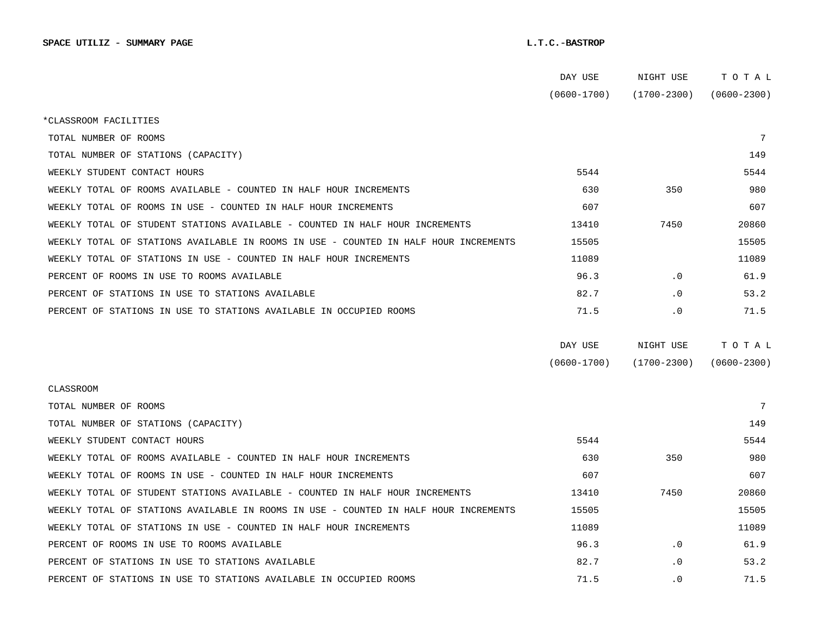|                                                                                      | DAY USE         | NIGHT USE       | TOTAL           |  |
|--------------------------------------------------------------------------------------|-----------------|-----------------|-----------------|--|
|                                                                                      | $(0600 - 1700)$ | $(1700 - 2300)$ | $(0600 - 2300)$ |  |
| *CLASSROOM FACILITIES                                                                |                 |                 |                 |  |
| TOTAL NUMBER OF ROOMS                                                                |                 |                 | 7               |  |
| TOTAL NUMBER OF STATIONS (CAPACITY)                                                  |                 |                 | 149             |  |
| WEEKLY STUDENT CONTACT HOURS                                                         | 5544            |                 | 5544            |  |
| WEEKLY TOTAL OF ROOMS AVAILABLE - COUNTED IN HALF HOUR INCREMENTS                    | 630             | 350             | 980             |  |
| WEEKLY TOTAL OF ROOMS IN USE - COUNTED IN HALF HOUR INCREMENTS                       | 607             |                 | 607             |  |
| WEEKLY TOTAL OF STUDENT STATIONS AVAILABLE - COUNTED IN HALF HOUR INCREMENTS         | 13410           | 7450            | 20860           |  |
| WEEKLY TOTAL OF STATIONS AVAILABLE IN ROOMS IN USE - COUNTED IN HALF HOUR INCREMENTS | 15505           |                 | 15505           |  |
| WEEKLY TOTAL OF STATIONS IN USE - COUNTED IN HALF HOUR INCREMENTS                    | 11089           |                 | 11089           |  |
| PERCENT OF ROOMS IN USE TO ROOMS AVAILABLE                                           | 96.3            | . 0             | 61.9            |  |
| PERCENT OF STATIONS IN USE TO STATIONS AVAILABLE                                     | 82.7            | . 0             | 53.2            |  |
| PERCENT OF STATIONS IN USE TO STATIONS AVAILABLE IN OCCUPIED ROOMS                   | 71.5            | $\cdot$ 0       | 71.5            |  |
|                                                                                      |                 |                 |                 |  |
|                                                                                      | DAY USE         | NIGHT USE       | TOTAL           |  |
|                                                                                      | $(0600 - 1700)$ | $(1700 - 2300)$ | $(0600 - 2300)$ |  |
| <b>CLASSROOM</b>                                                                     |                 |                 |                 |  |
| TOTAL NUMBER OF ROOMS                                                                |                 |                 | 7               |  |
| TOTAL NUMBER OF STATIONS (CAPACITY)                                                  |                 |                 | 149             |  |
| WEEKLY STUDENT CONTACT HOURS                                                         | 5544            |                 | 5544            |  |
| WEEKLY TOTAL OF ROOMS AVAILABLE - COUNTED IN HALF HOUR INCREMENTS                    | 630             | 350             | 980             |  |
| WEEKLY TOTAL OF ROOMS IN USE - COUNTED IN HALF HOUR INCREMENTS                       | 607             |                 | 607             |  |
| WEEKLY TOTAL OF STUDENT STATIONS AVAILABLE - COUNTED IN HALF HOUR INCREMENTS         | 13410           | 7450            | 20860           |  |
| WEEKLY TOTAL OF STATIONS AVAILABLE IN ROOMS IN USE - COUNTED IN HALF HOUR INCREMENTS | 15505           |                 | 15505           |  |
| WEEKLY TOTAL OF STATIONS IN USE - COUNTED IN HALF HOUR INCREMENTS                    | 11089           |                 | 11089           |  |
| PERCENT OF ROOMS IN USE TO ROOMS AVAILABLE                                           | 96.3            | $\cdot$ 0       | 61.9            |  |
| PERCENT OF STATIONS IN USE TO STATIONS AVAILABLE                                     | 82.7            | . 0             | 53.2            |  |
| PERCENT OF STATIONS IN USE TO STATIONS AVAILABLE IN OCCUPIED ROOMS                   | 71.5            | $\cdot$ 0       | 71.5            |  |